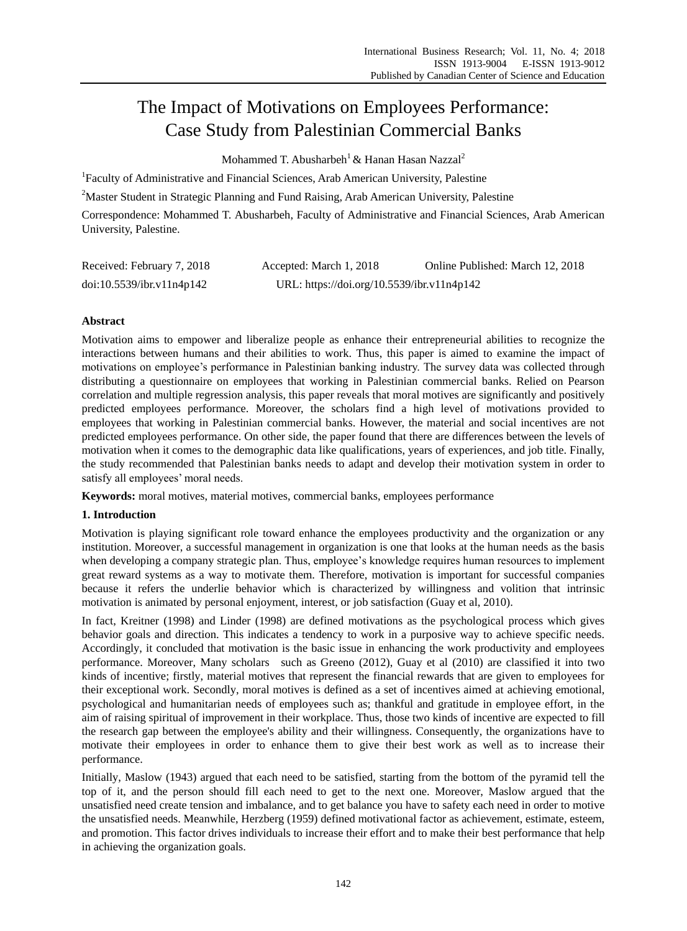# The Impact of Motivations on Employees Performance: Case Study from Palestinian Commercial Banks

Mohammed T. Abusharbeh<sup>1</sup> & Hanan Hasan Nazzal<sup>2</sup>

<sup>1</sup>Faculty of Administrative and Financial Sciences, Arab American University, Palestine

<sup>2</sup>Master Student in Strategic Planning and Fund Raising, Arab American University, Palestine

Correspondence: Mohammed T. Abusharbeh, Faculty of Administrative and Financial Sciences, Arab American University, Palestine.

| Received: February 7, 2018 | Accepted: March 1, 2018                    | Online Published: March 12, 2018 |
|----------------------------|--------------------------------------------|----------------------------------|
| doi:10.5539/ibr.v11n4p142  | URL: https://doi.org/10.5539/ibr.v11n4p142 |                                  |

# **Abstract**

Motivation aims to empower and liberalize people as enhance their entrepreneurial abilities to recognize the interactions between humans and their abilities to work. Thus, this paper is aimed to examine the impact of motivations on employee's performance in Palestinian banking industry. The survey data was collected through distributing a questionnaire on employees that working in Palestinian commercial banks. Relied on Pearson correlation and multiple regression analysis, this paper reveals that moral motives are significantly and positively predicted employees performance. Moreover, the scholars find a high level of motivations provided to employees that working in Palestinian commercial banks. However, the material and social incentives are not predicted employees performance. On other side, the paper found that there are differences between the levels of motivation when it comes to the demographic data like qualifications, years of experiences, and job title. Finally, the study recommended that Palestinian banks needs to adapt and develop their motivation system in order to satisfy all employees' moral needs.

**Keywords:** moral motives, material motives, commercial banks, employees performance

# **1. Introduction**

Motivation is playing significant role toward enhance the employees productivity and the organization or any institution. Moreover, a successful management in organization is one that looks at the human needs as the basis when developing a company strategic plan. Thus, employee's knowledge requires human resources to implement great reward systems as a way to motivate them. Therefore, motivation is important for successful companies because it refers the underlie behavior which is characterized by willingness and volition that intrinsic motivation is animated by personal enjoyment, interest, or job satisfaction (Guay et al, 2010).

In fact, Kreitner (1998) and Linder (1998) are defined motivations as the psychological process which gives behavior goals and direction. This indicates a tendency to work in a purposive way to achieve specific needs. Accordingly, it concluded that motivation is the basic issue in enhancing the work productivity and employees performance. Moreover, Many scholars such as Greeno (2012), Guay et al (2010) are classified it into two kinds of incentive; firstly, material motives that represent the financial rewards that are given to employees for their exceptional work. Secondly, moral motives is defined as a set of incentives aimed at achieving emotional, psychological and humanitarian needs of employees such as; thankful and gratitude in employee effort, in the aim of raising spiritual of improvement in their workplace. Thus, those two kinds of incentive are expected to fill the research gap between the employee's ability and their willingness. Consequently, the organizations have to motivate their employees in order to enhance them to give their best work as well as to increase their performance.

Initially, Maslow (1943) argued that each need to be satisfied, starting from the bottom of the pyramid tell the top of it, and the person should fill each need to get to the next one. Moreover, Maslow argued that the unsatisfied need create tension and imbalance, and to get balance you have to safety each need in order to motive the unsatisfied needs. Meanwhile, Herzberg (1959) defined motivational factor as achievement, estimate, esteem, and promotion. This factor drives individuals to increase their effort and to make their best performance that help in achieving the organization goals.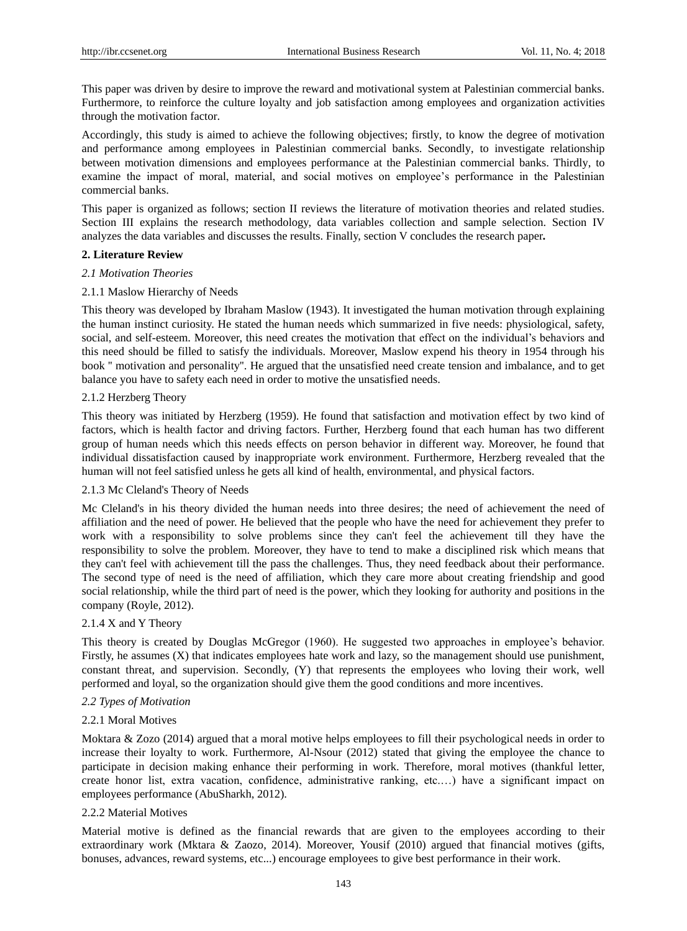This paper was driven by desire to improve the reward and motivational system at Palestinian commercial banks. Furthermore, to reinforce the culture loyalty and job satisfaction among employees and organization activities through the motivation factor.

Accordingly, this study is aimed to achieve the following objectives; firstly, to know the degree of motivation and performance among employees in Palestinian commercial banks. Secondly, to investigate relationship between motivation dimensions and employees performance at the Palestinian commercial banks. Thirdly, to examine the impact of moral, material, and social motives on employee's performance in the Palestinian commercial banks.

This paper is organized as follows; section II reviews the literature of motivation theories and related studies. Section III explains the research methodology, data variables collection and sample selection. Section IV analyzes the data variables and discusses the results. Finally, section V concludes the research paper*.* 

#### **2. Literature Review**

#### *2.1 Motivation Theories*

#### 2.1.1 Maslow Hierarchy of Needs

This theory was developed by Ibraham Maslow (1943). It investigated the human motivation through explaining the human instinct curiosity. He stated the human needs which summarized in five needs: physiological, safety, social, and self-esteem. Moreover, this need creates the motivation that effect on the individual's behaviors and this need should be filled to satisfy the individuals. Moreover, Maslow expend his theory in 1954 through his book '' motivation and personality''. He argued that the unsatisfied need create tension and imbalance, and to get balance you have to safety each need in order to motive the unsatisfied needs.

#### 2.1.2 Herzberg Theory

This theory was initiated by Herzberg (1959). He found that satisfaction and motivation effect by two kind of factors, which is health factor and driving factors. Further, Herzberg found that each human has two different group of human needs which this needs effects on person behavior in different way. Moreover, he found that individual dissatisfaction caused by inappropriate work environment. Furthermore, Herzberg revealed that the human will not feel satisfied unless he gets all kind of health, environmental, and physical factors.

# 2.1.3 Mc Cleland's Theory of Needs

Mc Cleland's in his theory divided the human needs into three desires; the need of achievement the need of affiliation and the need of power. He believed that the people who have the need for achievement they prefer to work with a responsibility to solve problems since they can't feel the achievement till they have the responsibility to solve the problem. Moreover, they have to tend to make a disciplined risk which means that they can't feel with achievement till the pass the challenges. Thus, they need feedback about their performance. The second type of need is the need of affiliation, which they care more about creating friendship and good social relationship, while the third part of need is the power, which they looking for authority and positions in the company (Royle, 2012).

#### 2.1.4 X and Y Theory

This theory is created by Douglas McGregor (1960). He suggested two approaches in employee's behavior. Firstly, he assumes (X) that indicates employees hate work and lazy, so the management should use punishment, constant threat, and supervision. Secondly, (Y) that represents the employees who loving their work, well performed and loyal, so the organization should give them the good conditions and more incentives.

#### *2.2 Types of Motivation*

#### 2.2.1 Moral Motives

Moktara & Zozo (2014) argued that a moral motive helps employees to fill their psychological needs in order to increase their loyalty to work. Furthermore, Al-Nsour (2012) stated that giving the employee the chance to participate in decision making enhance their performing in work. Therefore, moral motives (thankful letter, create honor list, extra vacation, confidence, administrative ranking, etc.…) have a significant impact on employees performance (AbuSharkh, 2012).

#### 2.2.2 Material Motives

Material motive is defined as the financial rewards that are given to the employees according to their extraordinary work (Mktara & Zaozo, 2014). Moreover, Yousif (2010) argued that financial motives (gifts, bonuses, advances, reward systems, etc...) encourage employees to give best performance in their work.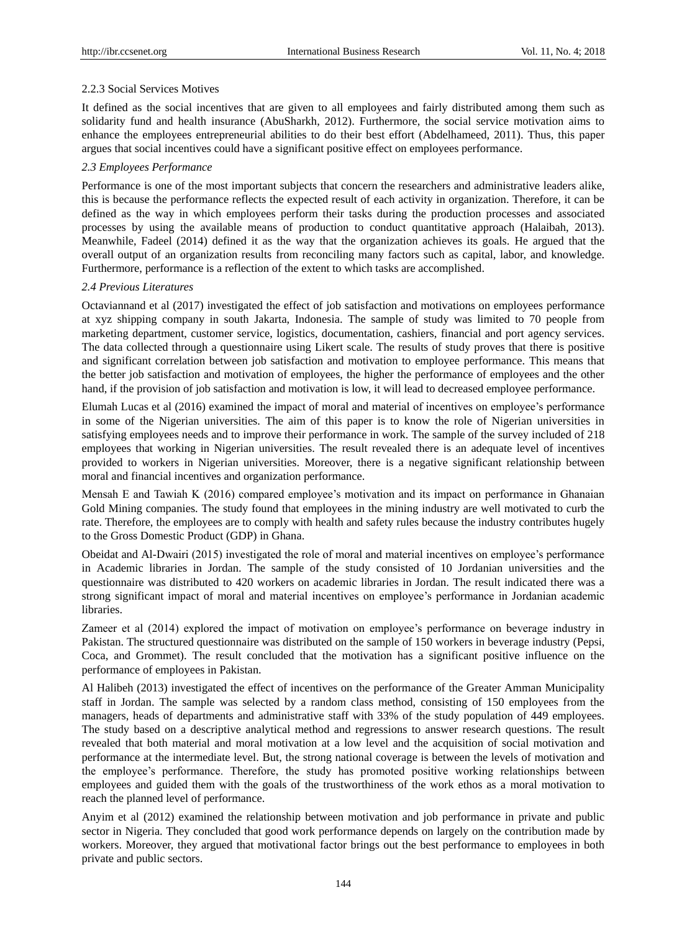# 2.2.3 Social Services Motives

It defined as the social incentives that are given to all employees and fairly distributed among them such as solidarity fund and health insurance (AbuSharkh, 2012). Furthermore, the social service motivation aims to enhance the employees entrepreneurial abilities to do their best effort (Abdelhameed, 2011). Thus, this paper argues that social incentives could have a significant positive effect on employees performance.

# *2.3 Employees Performance*

Performance is one of the most important subjects that concern the researchers and administrative leaders alike, this is because the performance reflects the expected result of each activity in organization. Therefore, it can be defined as the way in which employees perform their tasks during the production processes and associated processes by using the available means of production to conduct quantitative approach (Halaibah, 2013). Meanwhile, Fadeel (2014) defined it as the way that the organization achieves its goals. He argued that the overall output of an organization results from reconciling many factors such as capital, labor, and knowledge. Furthermore, performance is a reflection of the extent to which tasks are accomplished.

# *2.4 Previous Literatures*

Octaviannand et al (2017) investigated the effect of job satisfaction and motivations on employees performance at xyz shipping company in south Jakarta, Indonesia. The sample of study was limited to 70 people from marketing department, customer service, logistics, documentation, cashiers, financial and port agency services. The data collected through a questionnaire using Likert scale. The results of study proves that there is positive and significant correlation between job satisfaction and motivation to employee performance. This means that the better job satisfaction and motivation of employees, the higher the performance of employees and the other hand, if the provision of job satisfaction and motivation is low, it will lead to decreased employee performance.

Elumah Lucas et al (2016) examined the impact of moral and material of incentives on employee's performance in some of the Nigerian universities. The aim of this paper is to know the role of Nigerian universities in satisfying employees needs and to improve their performance in work. The sample of the survey included of 218 employees that working in Nigerian universities. The result revealed there is an adequate level of incentives provided to workers in Nigerian universities. Moreover, there is a negative significant relationship between moral and financial incentives and organization performance.

Mensah E and Tawiah K (2016) compared employee's motivation and its impact on performance in Ghanaian Gold Mining companies. The study found that employees in the mining industry are well motivated to curb the rate. Therefore, the employees are to comply with health and safety rules because the industry contributes hugely to the Gross Domestic Product (GDP) in Ghana.

Obeidat and Al-Dwairi (2015) investigated the role of moral and material incentives on employee's performance in Academic libraries in Jordan. The sample of the study consisted of 10 Jordanian universities and the questionnaire was distributed to 420 workers on academic libraries in Jordan. The result indicated there was a strong significant impact of moral and material incentives on employee's performance in Jordanian academic libraries.

Zameer et al (2014) explored the impact of motivation on employee's performance on beverage industry in Pakistan. The structured questionnaire was distributed on the sample of 150 workers in beverage industry (Pepsi, Coca, and Grommet). The result concluded that the motivation has a significant positive influence on the performance of employees in Pakistan.

Al Halibeh (2013) investigated the effect of incentives on the performance of the Greater Amman Municipality staff in Jordan. The sample was selected by a random class method, consisting of 150 employees from the managers, heads of departments and administrative staff with 33% of the study population of 449 employees. The study based on a descriptive analytical method and regressions to answer research questions. The result revealed that both material and moral motivation at a low level and the acquisition of social motivation and performance at the intermediate level. But, the strong national coverage is between the levels of motivation and the employee's performance. Therefore, the study has promoted positive working relationships between employees and guided them with the goals of the trustworthiness of the work ethos as a moral motivation to reach the planned level of performance.

Anyim et al (2012) examined the relationship between motivation and job performance in private and public sector in Nigeria. They concluded that good work performance depends on largely on the contribution made by workers. Moreover, they argued that motivational factor brings out the best performance to employees in both private and public sectors.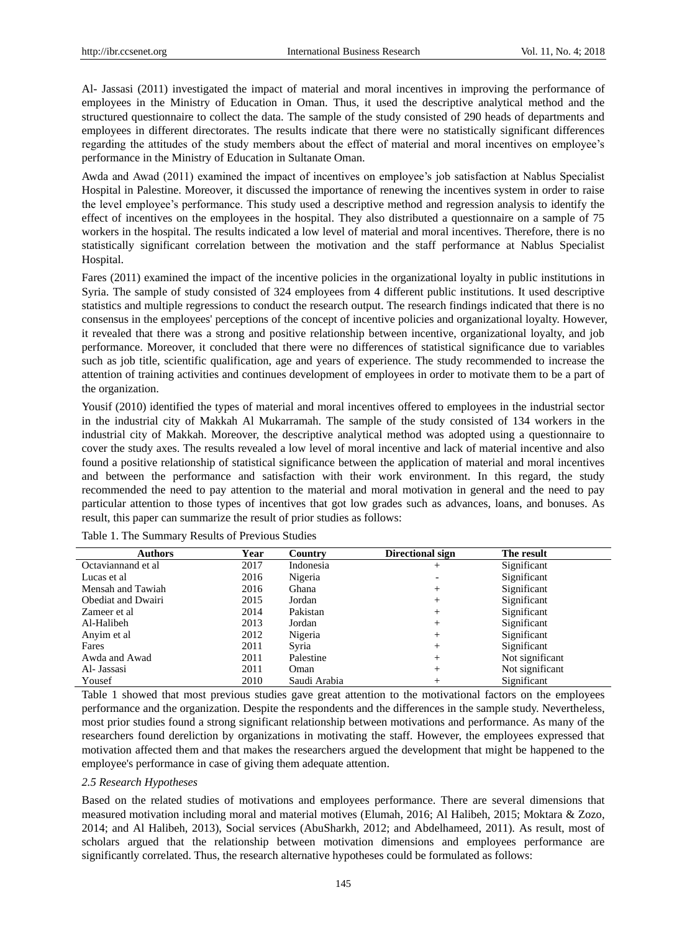Al- Jassasi (2011) investigated the impact of material and moral incentives in improving the performance of employees in the Ministry of Education in Oman. Thus, it used the descriptive analytical method and the structured questionnaire to collect the data. The sample of the study consisted of 290 heads of departments and employees in different directorates. The results indicate that there were no statistically significant differences regarding the attitudes of the study members about the effect of material and moral incentives on employee's performance in the Ministry of Education in Sultanate Oman.

Awda and Awad (2011) examined the impact of incentives on employee's job satisfaction at Nablus Specialist Hospital in Palestine. Moreover, it discussed the importance of renewing the incentives system in order to raise the level employee's performance. This study used a descriptive method and regression analysis to identify the effect of incentives on the employees in the hospital. They also distributed a questionnaire on a sample of 75 workers in the hospital. The results indicated a low level of material and moral incentives. Therefore, there is no statistically significant correlation between the motivation and the staff performance at Nablus Specialist Hospital.

Fares (2011) examined the impact of the incentive policies in the organizational loyalty in public institutions in Syria. The sample of study consisted of 324 employees from 4 different public institutions. It used descriptive statistics and multiple regressions to conduct the research output. The research findings indicated that there is no consensus in the employees' perceptions of the concept of incentive policies and organizational loyalty. However, it revealed that there was a strong and positive relationship between incentive, organizational loyalty, and job performance. Moreover, it concluded that there were no differences of statistical significance due to variables such as job title, scientific qualification, age and years of experience. The study recommended to increase the attention of training activities and continues development of employees in order to motivate them to be a part of the organization.

Yousif (2010) identified the types of material and moral incentives offered to employees in the industrial sector in the industrial city of Makkah Al Mukarramah. The sample of the study consisted of 134 workers in the industrial city of Makkah. Moreover, the descriptive analytical method was adopted using a questionnaire to cover the study axes. The results revealed a low level of moral incentive and lack of material incentive and also found a positive relationship of statistical significance between the application of material and moral incentives and between the performance and satisfaction with their work environment. In this regard, the study recommended the need to pay attention to the material and moral motivation in general and the need to pay particular attention to those types of incentives that got low grades such as advances, loans, and bonuses. As result, this paper can summarize the result of prior studies as follows:

| <b>Authors</b>     | Year | Country      | Directional sign         | The result      |
|--------------------|------|--------------|--------------------------|-----------------|
| Octaviannand et al | 2017 | Indonesia    | ┿                        | Significant     |
| Lucas et al        | 2016 | Nigeria      | $\overline{\phantom{a}}$ | Significant     |
| Mensah and Tawiah  | 2016 | Ghana        | $\,$                     | Significant     |
| Obediat and Dwairi | 2015 | Jordan       | $^+$                     | Significant     |
| Zameer et al       | 2014 | Pakistan     | $\,$                     | Significant     |
| Al-Halibeh         | 2013 | Jordan       | $^{+}$                   | Significant     |
| Anyim et al        | 2012 | Nigeria      | $^+$                     | Significant     |
| Fares              | 2011 | Syria        | $^{+}$                   | Significant     |
| Awda and Awad      | 2011 | Palestine    | $^{+}$                   | Not significant |
| Al- Jassasi        | 2011 | Oman         | $^{+}$                   | Not significant |
| Yousef             | 2010 | Saudi Arabia | $^+$                     | Significant     |

Table 1 showed that most previous studies gave great attention to the motivational factors on the employees performance and the organization. Despite the respondents and the differences in the sample study. Nevertheless, most prior studies found a strong significant relationship between motivations and performance. As many of the researchers found dereliction by organizations in motivating the staff. However, the employees expressed that motivation affected them and that makes the researchers argued the development that might be happened to the employee's performance in case of giving them adequate attention.

#### *2.5 Research Hypotheses*

Based on the related studies of motivations and employees performance. There are several dimensions that measured motivation including moral and material motives (Elumah, 2016; Al Halibeh, 2015; Moktara & Zozo, 2014; and Al Halibeh, 2013), Social services (AbuSharkh, 2012; and Abdelhameed, 2011). As result, most of scholars argued that the relationship between motivation dimensions and employees performance are significantly correlated. Thus, the research alternative hypotheses could be formulated as follows: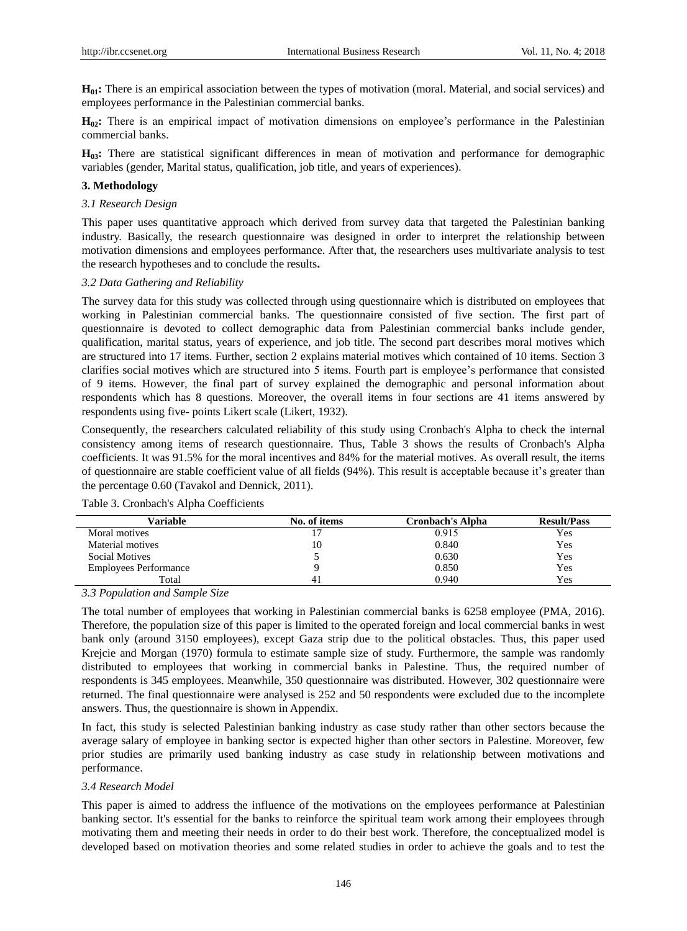**H<sub>01</sub>:** There is an empirical association between the types of motivation (moral. Material, and social services) and employees performance in the Palestinian commercial banks.

**H02:** There is an empirical impact of motivation dimensions on employee's performance in the Palestinian commercial banks.

**H03:** There are statistical significant differences in mean of motivation and performance for demographic variables (gender, Marital status, qualification, job title, and years of experiences).

### **3. Methodology**

#### *3.1 Research Design*

This paper uses quantitative approach which derived from survey data that targeted the Palestinian banking industry. Basically, the research questionnaire was designed in order to interpret the relationship between motivation dimensions and employees performance. After that, the researchers uses multivariate analysis to test the research hypotheses and to conclude the results**.** 

#### *3.2 Data Gathering and Reliability*

The survey data for this study was collected through using questionnaire which is distributed on employees that working in Palestinian commercial banks. The questionnaire consisted of five section. The first part of questionnaire is devoted to collect demographic data from Palestinian commercial banks include gender, qualification, marital status, years of experience, and job title. The second part describes moral motives which are structured into 17 items. Further, section 2 explains material motives which contained of 10 items. Section 3 clarifies social motives which are structured into 5 items. Fourth part is employee's performance that consisted of 9 items. However, the final part of survey explained the demographic and personal information about respondents which has 8 questions. Moreover, the overall items in four sections are 41 items answered by respondents using five- points Likert scale (Likert, 1932).

Consequently, the researchers calculated reliability of this study using Cronbach's Alpha to check the internal consistency among items of research questionnaire. Thus, Table 3 shows the results of Cronbach's Alpha coefficients. It was 91.5% for the moral incentives and 84% for the material motives. As overall result, the items of questionnaire are stable coefficient value of all fields (94%). This result is acceptable because it's greater than the percentage 0.60 (Tavakol and Dennick, 2011).

| Variable                     | No. of items | Cronbach's Alpha | <b>Result/Pass</b> |
|------------------------------|--------------|------------------|--------------------|
| Moral motives                |              | 0.915            | Yes                |
| Material motives             | 10           | 0.840            | Yes                |
| Social Motives               |              | 0.630            | Yes                |
| <b>Employees Performance</b> |              | 0.850            | Yes                |
| Total                        |              | 0.940            | Yes                |

Table 3. Cronbach's Alpha Coefficients

*3.3 Population and Sample Size*

The total number of employees that working in Palestinian commercial banks is 6258 employee (PMA, 2016). Therefore, the population size of this paper is limited to the operated foreign and local commercial banks in west bank only (around 3150 employees), except Gaza strip due to the political obstacles. Thus, this paper used Krejcie and Morgan (1970) formula to estimate sample size of study. Furthermore, the sample was randomly distributed to employees that working in commercial banks in Palestine. Thus, the required number of respondents is 345 employees. Meanwhile, 350 questionnaire was distributed. However, 302 questionnaire were returned. The final questionnaire were analysed is 252 and 50 respondents were excluded due to the incomplete answers. Thus, the questionnaire is shown in Appendix.

In fact, this study is selected Palestinian banking industry as case study rather than other sectors because the average salary of employee in banking sector is expected higher than other sectors in Palestine. Moreover, few prior studies are primarily used banking industry as case study in relationship between motivations and performance.

# *3.4 Research Model*

This paper is aimed to address the influence of the motivations on the employees performance at Palestinian banking sector. It's essential for the banks to reinforce the spiritual team work among their employees through motivating them and meeting their needs in order to do their best work. Therefore, the conceptualized model is developed based on motivation theories and some related studies in order to achieve the goals and to test the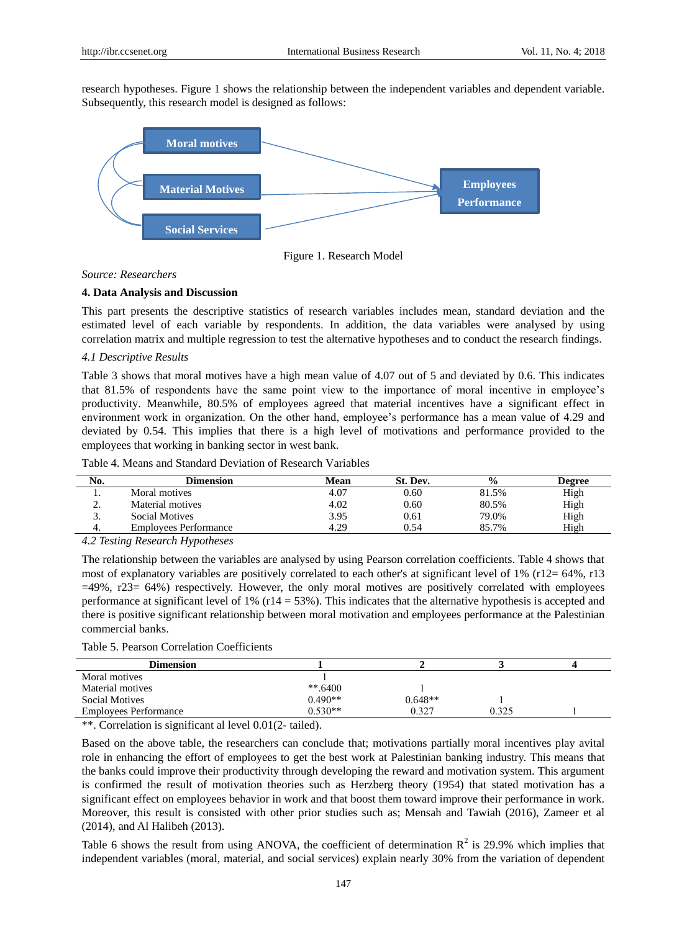research hypotheses. Figure 1 shows the relationship between the independent variables and dependent variable. Subsequently, this research model is designed as follows:



Figure 1. Research Model

#### *Source: Researchers*

#### **4. Data Analysis and Discussion**

This part presents the descriptive statistics of research variables includes mean, standard deviation and the estimated level of each variable by respondents. In addition, the data variables were analysed by using correlation matrix and multiple regression to test the alternative hypotheses and to conduct the research findings.

# *4.1 Descriptive Results*

Table 3 shows that moral motives have a high mean value of 4.07 out of 5 and deviated by 0.6. This indicates that 81.5% of respondents have the same point view to the importance of moral incentive in employee's productivity. Meanwhile, 80.5% of employees agreed that material incentives have a significant effect in environment work in organization. On the other hand, employee's performance has a mean value of 4.29 and deviated by 0.54. This implies that there is a high level of motivations and performance provided to the employees that working in banking sector in west bank.

| No. | Dimension                    | Mean | St. Dev. | $\frac{6}{6}$ | Degree |
|-----|------------------------------|------|----------|---------------|--------|
|     | Moral motives                | 4.07 | 0.60     | 81.5%         | High   |
| ٠.  | Material motives             | 4.02 | 0.60     | 80.5%         | High   |
| J.  | <b>Social Motives</b>        | 3.95 | 0.61     | 79.0%         | High   |
| 4.  | <b>Employees Performance</b> | 4.29 | 0.54     | 85.7%         | High   |

Table 4. Means and Standard Deviation of Research Variables

*4.2 Testing Research Hypotheses* 

The relationship between the variables are analysed by using Pearson correlation coefficients. Table 4 shows that most of explanatory variables are positively correlated to each other's at significant level of 1% (r12= 64%, r13 =49%, r23= 64%) respectively. However, the only moral motives are positively correlated with employees performance at significant level of 1% (r14 = 53%). This indicates that the alternative hypothesis is accepted and there is positive significant relationship between moral motivation and employees performance at the Palestinian commercial banks.

Table 5. Pearson Correlation Coefficients

| <b>Dimension</b>             |            |           |       |  |
|------------------------------|------------|-----------|-------|--|
| Moral motives                |            |           |       |  |
| <b>Material motives</b>      | $***.6400$ |           |       |  |
| <b>Social Motives</b>        | $0.490**$  | $0.648**$ |       |  |
| <b>Employees Performance</b> | $0.530**$  | 0.327     | 0.325 |  |

\*\*. Correlation is significant al level 0.01(2- tailed).

Based on the above table, the researchers can conclude that; motivations partially moral incentives play avital role in enhancing the effort of employees to get the best work at Palestinian banking industry. This means that the banks could improve their productivity through developing the reward and motivation system. This argument is confirmed the result of motivation theories such as Herzberg theory (1954) that stated motivation has a significant effect on employees behavior in work and that boost them toward improve their performance in work. Moreover, this result is consisted with other prior studies such as; Mensah and Tawiah (2016), Zameer et al (2014), and Al Halibeh (2013).

Table 6 shows the result from using ANOVA, the coefficient of determination  $\mathbb{R}^2$  is 29.9% which implies that independent variables (moral, material, and social services) explain nearly 30% from the variation of dependent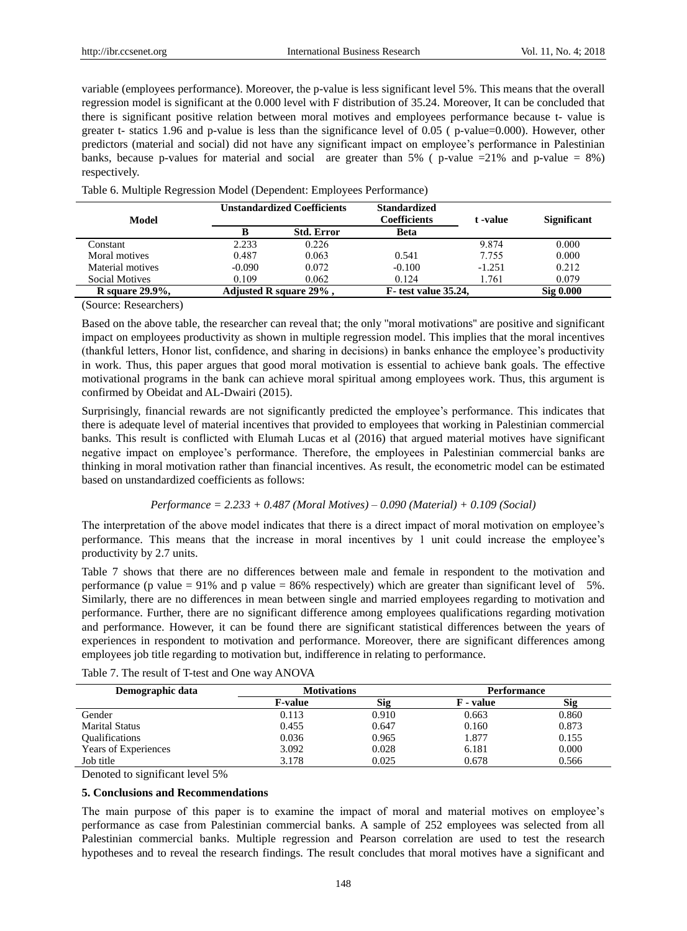variable (employees performance). Moreover, the p-value is less significant level 5%. This means that the overall regression model is significant at the 0.000 level with F distribution of 35.24. Moreover, It can be concluded that there is significant positive relation between moral motives and employees performance because t- value is greater t- statics 1.96 and p-value is less than the significance level of 0.05 ( p-value=0.000). However, other predictors (material and social) did not have any significant impact on employee's performance in Palestinian banks, because p-values for material and social are greater than 5% ( p-value =21% and p-value =  $8\%$ ) respectively.

| Model               |                   | <b>Unstandardized Coefficients</b> |                             | t -value | <b>Significant</b> |  |
|---------------------|-------------------|------------------------------------|-----------------------------|----------|--------------------|--|
|                     | <b>Std. Error</b> |                                    | <b>Beta</b>                 |          |                    |  |
| Constant            | 2.233             | 0.226                              |                             | 9.874    | 0.000              |  |
| Moral motives       | 0.487             | 0.063                              | 0.541                       | 7.755    | 0.000              |  |
| Material motives    | $-0.090$          | 0.072                              | $-0.100$                    | $-1.251$ | 0.212              |  |
| Social Motives      | 0.109             | 0.062                              | 0.124                       | 1.761    | 0.079              |  |
| R square $29.9\%$ . |                   | Adjusted R square $29\%$ .         | <b>F</b> -test value 35.24, |          | Sig 0.000          |  |

Table 6. Multiple Regression Model (Dependent: Employees Performance)

(Source: Researchers)

Based on the above table, the researcher can reveal that; the only ''moral motivations'' are positive and significant impact on employees productivity as shown in multiple regression model. This implies that the moral incentives (thankful letters, Honor list, confidence, and sharing in decisions) in banks enhance the employee's productivity in work. Thus, this paper argues that good moral motivation is essential to achieve bank goals. The effective motivational programs in the bank can achieve moral spiritual among employees work. Thus, this argument is confirmed by Obeidat and AL-Dwairi (2015).

Surprisingly, financial rewards are not significantly predicted the employee's performance. This indicates that there is adequate level of material incentives that provided to employees that working in Palestinian commercial banks. This result is conflicted with Elumah Lucas et al (2016) that argued material motives have significant negative impact on employee's performance. Therefore, the employees in Palestinian commercial banks are thinking in moral motivation rather than financial incentives. As result, the econometric model can be estimated based on unstandardized coefficients as follows:

#### *Performance = 2.233 + 0.487 (Moral Motives) – 0.090 (Material) + 0.109 (Social)*

The interpretation of the above model indicates that there is a direct impact of moral motivation on employee's performance. This means that the increase in moral incentives by 1 unit could increase the employee's productivity by 2.7 units.

Table 7 shows that there are no differences between male and female in respondent to the motivation and performance (p value = 91% and p value = 86% respectively) which are greater than significant level of 5%. Similarly, there are no differences in mean between single and married employees regarding to motivation and performance. Further, there are no significant difference among employees qualifications regarding motivation and performance. However, it can be found there are significant statistical differences between the years of experiences in respondent to motivation and performance. Moreover, there are significant differences among employees job title regarding to motivation but, indifference in relating to performance.

|  |  | Table 7. The result of T-test and One way ANOVA |
|--|--|-------------------------------------------------|
|  |  |                                                 |

| Demographic data             | <b>Motivations</b> |            | Performance |            |
|------------------------------|--------------------|------------|-------------|------------|
|                              | <b>F-value</b>     | <b>Sig</b> | F - value   | <b>Sig</b> |
| Gender                       | 0.113              | 0.910      | 0.663       | 0.860      |
| <b>Marital Status</b>        | 0.455              | 0.647      | 0.160       | 0.873      |
| <i><b>Oualifications</b></i> | 0.036              | 0.965      | 1.877       | 0.155      |
| Years of Experiences         | 3.092              | 0.028      | 6.181       | 0.000      |
| Job title                    | 3.178              | 0.025      | 0.678       | 0.566      |

Denoted to significant level 5%

#### **5. Conclusions and Recommendations**

The main purpose of this paper is to examine the impact of moral and material motives on employee's performance as case from Palestinian commercial banks. A sample of 252 employees was selected from all Palestinian commercial banks. Multiple regression and Pearson correlation are used to test the research hypotheses and to reveal the research findings. The result concludes that moral motives have a significant and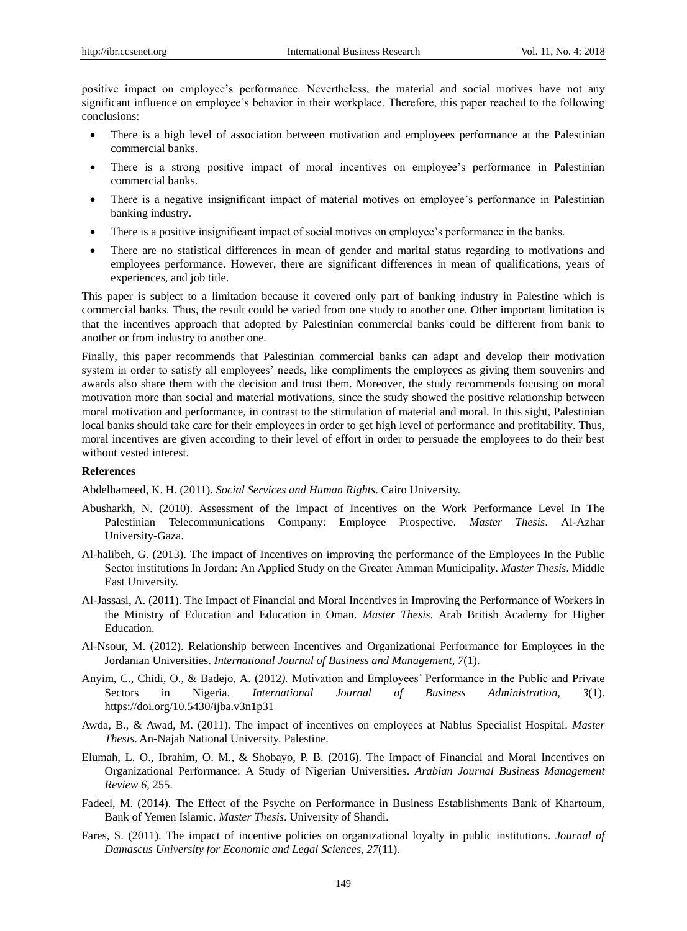positive impact on employee's performance. Nevertheless, the material and social motives have not any significant influence on employee's behavior in their workplace. Therefore, this paper reached to the following conclusions:

- There is a high level of association between motivation and employees performance at the Palestinian commercial banks.
- There is a strong positive impact of moral incentives on employee's performance in Palestinian commercial banks.
- There is a negative insignificant impact of material motives on employee's performance in Palestinian banking industry.
- There is a positive insignificant impact of social motives on employee's performance in the banks.
- There are no statistical differences in mean of gender and marital status regarding to motivations and employees performance. However, there are significant differences in mean of qualifications, years of experiences, and job title.

This paper is subject to a limitation because it covered only part of banking industry in Palestine which is commercial banks. Thus, the result could be varied from one study to another one. Other important limitation is that the incentives approach that adopted by Palestinian commercial banks could be different from bank to another or from industry to another one.

Finally, this paper recommends that Palestinian commercial banks can adapt and develop their motivation system in order to satisfy all employees' needs, like compliments the employees as giving them souvenirs and awards also share them with the decision and trust them. Moreover, the study recommends focusing on moral motivation more than social and material motivations, since the study showed the positive relationship between moral motivation and performance, in contrast to the stimulation of material and moral. In this sight, Palestinian local banks should take care for their employees in order to get high level of performance and profitability. Thus, moral incentives are given according to their level of effort in order to persuade the employees to do their best without vested interest.

#### **References**

Abdelhameed, K. H. (2011). *Social Services and Human Rights*. Cairo University.

- Abusharkh, N. (2010). Assessment of the Impact of Incentives on the Work Performance Level In The Palestinian Telecommunications Company: Employee Prospective. *Master Thesis*. Al-Azhar University-Gaza.
- Al-halibeh, G. (2013). The impact of Incentives on improving the performance of the Employees In the Public Sector institutions In Jordan: An Applied Study on the Greater Amman Municipalit*y*. *Master Thesis*. Middle East University.
- Al-Jassasi, A. (2011). The Impact of Financial and Moral Incentives in Improving the Performance of Workers in the Ministry of Education and Education in Oman. *Master Thesis*. Arab British Academy for Higher Education.
- Al-Nsour, M. (2012). Relationship between Incentives and Organizational Performance for Employees in the Jordanian Universities. *International Journal of Business and Management*, *7*(1).
- Anyim, C., Chidi, O., & Badejo, A. (2012*).* Motivation and Employees' Performance in the Public and Private Sectors in Nigeria. *International Journal of Business Administration*, *3*(1). https://doi.org/10.5430/ijba.v3n1p31
- Awda, B., & Awad, M. (2011). The impact of incentives on employees at Nablus Specialist Hospital. *Master Thesis*. An-Najah National University. Palestine.
- Elumah, L. O., Ibrahim, O. M., & Shobayo, P. B. (2016). The Impact of Financial and Moral Incentives on Organizational Performance: A Study of Nigerian Universities. *Arabian Journal Business Management Review 6,* 255.
- Fadeel, M. (2014). The Effect of the Psyche on Performance in Business Establishments Bank of Khartoum, Bank of Yemen Islamic. *Master Thesis*. University of Shandi.
- Fares, S. (2011). The impact of incentive policies on organizational loyalty in public institutions. *Journal of Damascus University for Economic and Legal Sciences*, *27*(11).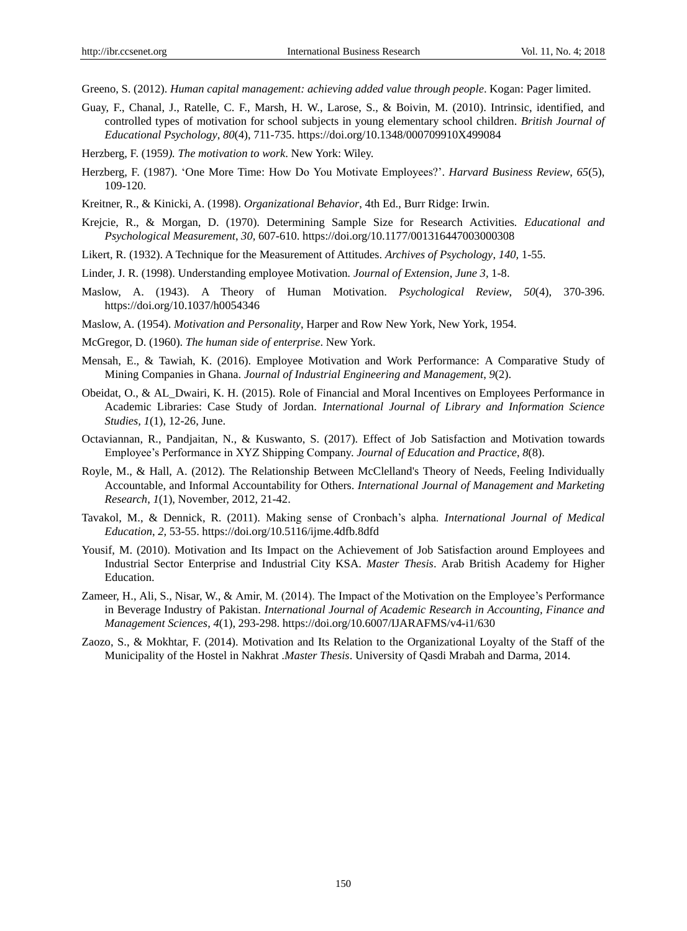- Greeno, S. (2012). *Human capital management: achieving added value through people*. Kogan: Pager limited.
- Guay, F., Chanal, J., Ratelle, C. F., Marsh, H. W., Larose, S., & Boivin, M. (2010). Intrinsic, identified, and controlled types of motivation for school subjects in young elementary school children. *British Journal of Educational Psychology*, *80*(4), 711-735. https://doi.org/10.1348/000709910X499084
- Herzberg, F. (1959*). The motivation to work*. New York: Wiley.
- Herzberg, F. (1987). 'One More Time: How Do You Motivate Employees?'. *Harvard Business Review*, *65*(5), 109-120.
- Kreitner, R., & Kinicki, A. (1998). *Organizational Behavior*, 4th Ed., Burr Ridge: Irwin.
- Krejcie, R., & Morgan, D. (1970). Determining Sample Size for Research Activities*. Educational and Psychological Measurement*, *30,* 607-610. https://doi.org/10.1177/001316447003000308
- Likert, R. (1932). A Technique for the Measurement of Attitudes. *Archives of Psychology*, *140,* 1-55.
- Linder, J. R. (1998). Understanding employee Motivation*. Journal of Extension*, *June 3,* 1-8.
- Maslow, A. (1943). A Theory of Human Motivation. *Psychological Review*, *50*(4), 370-396. https://doi.org/10.1037/h0054346
- Maslow, A. (1954). *Motivation and Personality*, Harper and Row New York, New York, 1954.
- McGregor, D. (1960). *The human side of enterprise*. New York.
- Mensah, E., & Tawiah, K. (2016). Employee Motivation and Work Performance: A Comparative Study of Mining Companies in Ghana. *Journal of Industrial Engineering and Management*, *9*(2).
- Obeidat, O., & AL\_Dwairi, K. H. (2015). Role of Financial and Moral Incentives on Employees Performance in Academic Libraries: Case Study of Jordan. *International Journal of Library and Information Science Studies, 1*(1), 12-26, June.
- Octaviannan, R., Pandjaitan, N., & Kuswanto, S. (2017). Effect of Job Satisfaction and Motivation towards Employee's Performance in XYZ Shipping Company. *Journal of Education and Practice*, *8*(8).
- Royle, M., & Hall, A. (2012). The Relationship Between McClelland's Theory of Needs, Feeling Individually Accountable, and Informal Accountability for Others. *International Journal of Management and Marketing Research*, *1*(1), November, 2012, 21-42.
- Tavakol, M., & Dennick, R. (2011). Making sense of Cronbach's alpha. *International Journal of Medical Education*, *2,* 53-55. https://doi.org/10.5116/ijme.4dfb.8dfd
- Yousif, M. (2010). Motivation and Its Impact on the Achievement of Job Satisfaction around Employees and Industrial Sector Enterprise and Industrial City KSA. *Master Thesis*. Arab British Academy for Higher Education.
- Zameer, H., Ali, S., Nisar, W., & Amir, M. (2014). The Impact of the Motivation on the Employee's Performance in Beverage Industry of Pakistan. *International Journal of Academic Research in Accounting, Finance and Management Sciences*, *4*(1), 293-298. https://doi.org/10.6007/IJARAFMS/v4-i1/630
- Zaozo, S., & Mokhtar, F. (2014). Motivation and Its Relation to the Organizational Loyalty of the Staff of the Municipality of the Hostel in Nakhrat .*Master Thesis*. University of Qasdi Mrabah and Darma, 2014.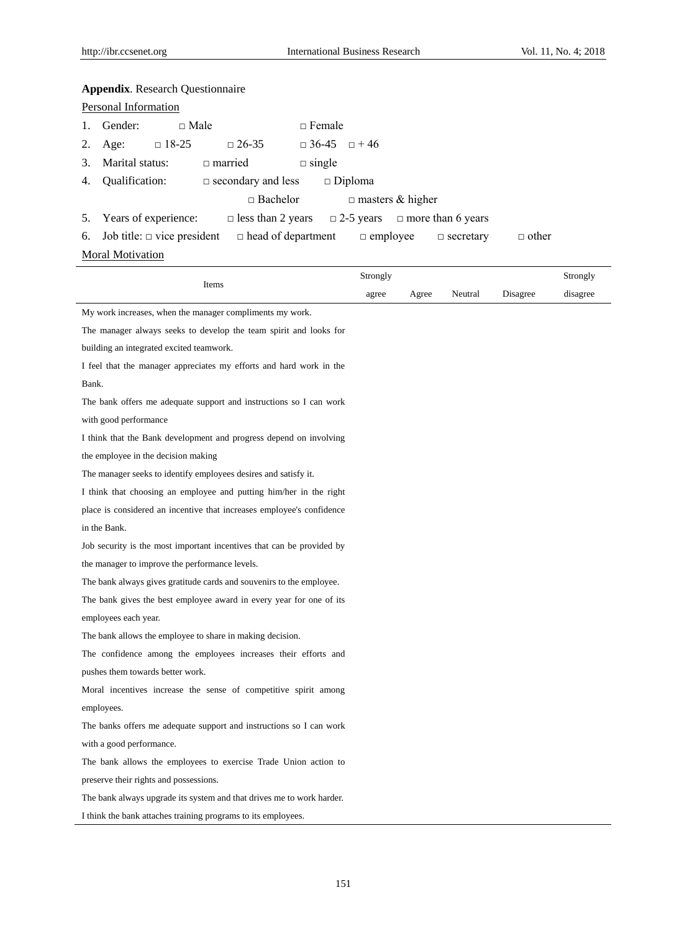# **Appendix**. Research Questionnaire

| Personal Information |             |                                                            |                                                                                                                                                                                                                                                                                                                                                                                                                                                              |  |
|----------------------|-------------|------------------------------------------------------------|--------------------------------------------------------------------------------------------------------------------------------------------------------------------------------------------------------------------------------------------------------------------------------------------------------------------------------------------------------------------------------------------------------------------------------------------------------------|--|
| 1. Gender:           | $\Box$ Male |                                                            | $\Box$ Female                                                                                                                                                                                                                                                                                                                                                                                                                                                |  |
|                      |             | 2. Age: $\Box$ 18-25 $\Box$ 26-35                          | $\Box$ 36-45 $\Box$ +46                                                                                                                                                                                                                                                                                                                                                                                                                                      |  |
|                      |             | 3. Marital status: $\Box$ married                          | $\Box$ single                                                                                                                                                                                                                                                                                                                                                                                                                                                |  |
|                      |             | 4. Qualification: $\Box$ secondary and less $\Box$ Diploma |                                                                                                                                                                                                                                                                                                                                                                                                                                                              |  |
|                      |             |                                                            | $\Box$ Bachelor<br>$\Box$ masters & higher                                                                                                                                                                                                                                                                                                                                                                                                                   |  |
|                      |             |                                                            | 5. Years of experience: $\Box$ less than 2 years $\Box$ 2-5 years $\Box$ more than 6 years                                                                                                                                                                                                                                                                                                                                                                   |  |
|                      |             |                                                            | $\mathcal{L} = \mathcal{L} + \mathcal{L} + \mathcal{L} + \mathcal{L} + \mathcal{L} + \mathcal{L} + \mathcal{L} + \mathcal{L} + \mathcal{L} + \mathcal{L} + \mathcal{L} + \mathcal{L} + \mathcal{L} + \mathcal{L} + \mathcal{L} + \mathcal{L} + \mathcal{L} + \mathcal{L} + \mathcal{L} + \mathcal{L} + \mathcal{L} + \mathcal{L} + \mathcal{L} + \mathcal{L} + \mathcal{L} + \mathcal{L} + \mathcal{L} + \mathcal{L} + \mathcal{L} + \mathcal{L} + \mathcal$ |  |

6. Job title: □ vice president □ head of department □ employee □ secretary □ other

# **Moral Motivation**

| Items                                                                 |       | Strongly |         |          |          |
|-----------------------------------------------------------------------|-------|----------|---------|----------|----------|
|                                                                       | agree | Agree    | Neutral | Disagree | disagree |
| My work increases, when the manager compliments my work.              |       |          |         |          |          |
| The manager always seeks to develop the team spirit and looks for     |       |          |         |          |          |
| building an integrated excited teamwork.                              |       |          |         |          |          |
| I feel that the manager appreciates my efforts and hard work in the   |       |          |         |          |          |
| Bank.                                                                 |       |          |         |          |          |
| The bank offers me adequate support and instructions so I can work    |       |          |         |          |          |
| with good performance                                                 |       |          |         |          |          |
| I think that the Bank development and progress depend on involving    |       |          |         |          |          |
| the employee in the decision making                                   |       |          |         |          |          |
| The manager seeks to identify employees desires and satisfy it.       |       |          |         |          |          |
| I think that choosing an employee and putting him/her in the right    |       |          |         |          |          |
| place is considered an incentive that increases employee's confidence |       |          |         |          |          |
| in the Bank.                                                          |       |          |         |          |          |
| Job security is the most important incentives that can be provided by |       |          |         |          |          |
| the manager to improve the performance levels.                        |       |          |         |          |          |
| The bank always gives gratitude cards and souvenirs to the employee.  |       |          |         |          |          |
| The bank gives the best employee award in every year for one of its   |       |          |         |          |          |
| employees each year.                                                  |       |          |         |          |          |
| The bank allows the employee to share in making decision.             |       |          |         |          |          |
| The confidence among the employees increases their efforts and        |       |          |         |          |          |
| pushes them towards better work.                                      |       |          |         |          |          |
| Moral incentives increase the sense of competitive spirit among       |       |          |         |          |          |
| employees.                                                            |       |          |         |          |          |
| The banks offers me adequate support and instructions so I can work   |       |          |         |          |          |
| with a good performance.                                              |       |          |         |          |          |
| The bank allows the employees to exercise Trade Union action to       |       |          |         |          |          |
| preserve their rights and possessions.                                |       |          |         |          |          |
| The bank always upgrade its system and that drives me to work harder. |       |          |         |          |          |
| I think the bank attaches training programs to its employees.         |       |          |         |          |          |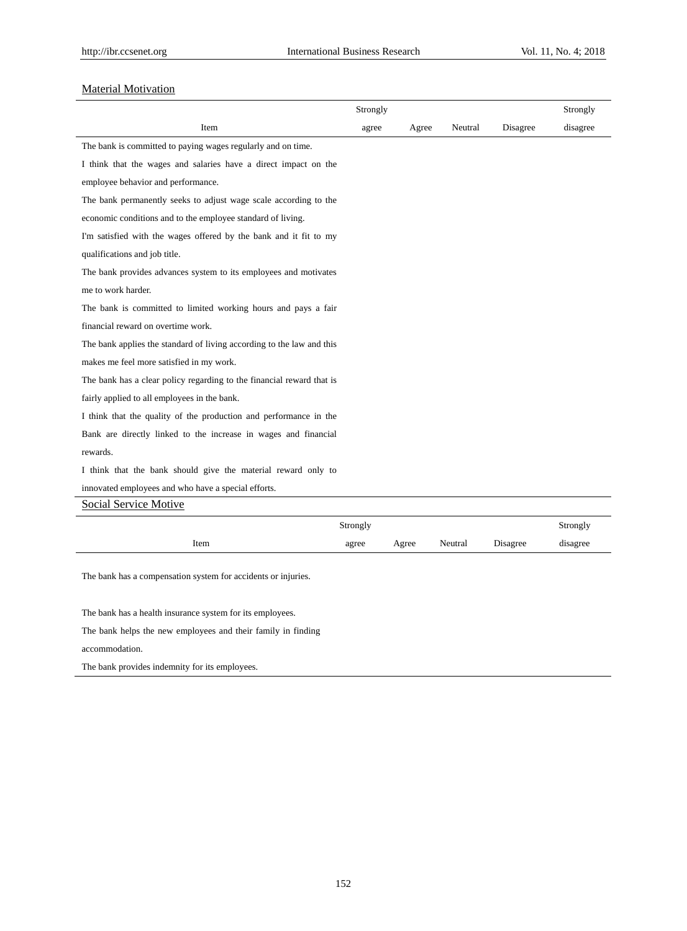disagree

# **Material Motivation**

|                                                                       | Strongly |       |         |          | Strongly |
|-----------------------------------------------------------------------|----------|-------|---------|----------|----------|
| Item                                                                  | agree    | Agree | Neutral | Disagree | disagree |
| The bank is committed to paying wages regularly and on time.          |          |       |         |          |          |
| I think that the wages and salaries have a direct impact on the       |          |       |         |          |          |
| employee behavior and performance.                                    |          |       |         |          |          |
| The bank permanently seeks to adjust wage scale according to the      |          |       |         |          |          |
| economic conditions and to the employee standard of living.           |          |       |         |          |          |
| I'm satisfied with the wages offered by the bank and it fit to my     |          |       |         |          |          |
| qualifications and job title.                                         |          |       |         |          |          |
| The bank provides advances system to its employees and motivates      |          |       |         |          |          |
| me to work harder.                                                    |          |       |         |          |          |
| The bank is committed to limited working hours and pays a fair        |          |       |         |          |          |
| financial reward on overtime work.                                    |          |       |         |          |          |
| The bank applies the standard of living according to the law and this |          |       |         |          |          |
| makes me feel more satisfied in my work.                              |          |       |         |          |          |
| The bank has a clear policy regarding to the financial reward that is |          |       |         |          |          |
| fairly applied to all employees in the bank.                          |          |       |         |          |          |
| I think that the quality of the production and performance in the     |          |       |         |          |          |
| Bank are directly linked to the increase in wages and financial       |          |       |         |          |          |
| rewards.                                                              |          |       |         |          |          |
| I think that the bank should give the material reward only to         |          |       |         |          |          |
| innovated employees and who have a special efforts.                   |          |       |         |          |          |
| <b>Social Service Motive</b>                                          |          |       |         |          |          |
|                                                                       | Strongly |       |         |          | Strongly |

agree Agree Neutral Disagree

The bank has a compensation system for accidents or injuries.

Item

The bank has a health insurance system for its employees.

The bank helps the new employees and their family in finding

accommodation.

The bank provides indemnity for its employees.